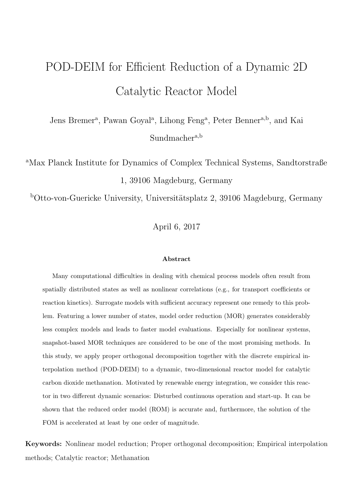# POD-DEIM for Efficient Reduction of a Dynamic 2D Catalytic Reactor Model

Jens Bremer<sup>a</sup>, Pawan Goyal<sup>a</sup>, Lihong Feng<sup>a</sup>, Peter Benner<sup>a,b</sup>, and Kai Sundmacher<sup>a,b</sup>

<sup>a</sup>Max Planck Institute for Dynamics of Complex Technical Systems, Sandtorstraße 1, 39106 Magdeburg, Germany

 $b$ Otto-von-Guericke University, Universitätsplatz 2, 39106 Magdeburg, Germany

April 6, 2017

### Abstract

Many computational difficulties in dealing with chemical process models often result from spatially distributed states as well as nonlinear correlations (e.g., for transport coefficients or reaction kinetics). Surrogate models with sufficient accuracy represent one remedy to this problem. Featuring a lower number of states, model order reduction (MOR) generates considerably less complex models and leads to faster model evaluations. Especially for nonlinear systems, snapshot-based MOR techniques are considered to be one of the most promising methods. In this study, we apply proper orthogonal decomposition together with the discrete empirical interpolation method (POD-DEIM) to a dynamic, two-dimensional reactor model for catalytic carbon dioxide methanation. Motivated by renewable energy integration, we consider this reactor in two different dynamic scenarios: Disturbed continuous operation and start-up. It can be shown that the reduced order model (ROM) is accurate and, furthermore, the solution of the FOM is accelerated at least by one order of magnitude.

Keywords: Nonlinear model reduction; Proper orthogonal decomposition; Empirical interpolation methods; Catalytic reactor; Methanation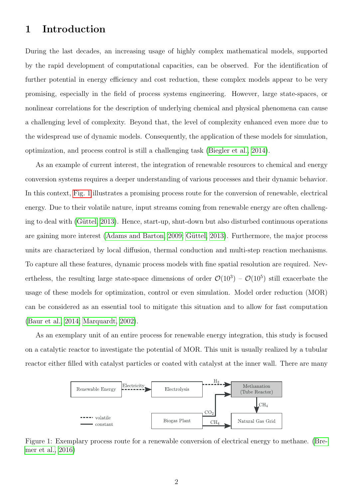## 1 Introduction

During the last decades, an increasing usage of highly complex mathematical models, supported by the rapid development of computational capacities, can be observed. For the identification of further potential in energy efficiency and cost reduction, these complex models appear to be very promising, especially in the field of process systems engineering. However, large state-spaces, or nonlinear correlations for the description of underlying chemical and physical phenomena can cause a challenging level of complexity. Beyond that, the level of complexity enhanced even more due to the widespread use of dynamic models. Consequently, the application of these models for simulation, optimization, and process control is still a challenging task [\(Biegler et al., 2014\)](#page-19-0).

As an example of current interest, the integration of renewable resources to chemical and energy conversion systems requires a deeper understanding of various processes and their dynamic behavior. In this context, [Fig. 1](#page-1-0) illustrates a promising process route for the conversion of renewable, electrical energy. Due to their volatile nature, input streams coming from renewable energy are often challenging to deal with (Güttel, 2013). Hence, start-up, shut-down but also disturbed continuous operations are gaining more interest [\(Adams and Barton, 2009;](#page-18-0) Güttel, 2013). Furthermore, the major process units are characterized by local diffusion, thermal conduction and multi-step reaction mechanisms. To capture all these features, dynamic process models with fine spatial resolution are required. Nevertheless, the resulting large state-space dimensions of order  $\mathcal{O}(10^3) - \mathcal{O}(10^5)$  still exacerbate the usage of these models for optimization, control or even simulation. Model order reduction (MOR) can be considered as an essential tool to mitigate this situation and to allow for fast computation [\(Baur et al., 2014;](#page-18-1) [Marquardt, 2002\)](#page-20-0).

As an exemplary unit of an entire process for renewable energy integration, this study is focused on a catalytic reactor to investigate the potential of MOR. This unit is usually realized by a tubular reactor either filled with catalyst particles or coated with catalyst at the inner wall. There are many



<span id="page-1-0"></span>Figure 1: Exemplary process route for a renewable conversion of electrical energy to methane. [\(Bre](#page-19-2)[mer et al., 2016\)](#page-19-2)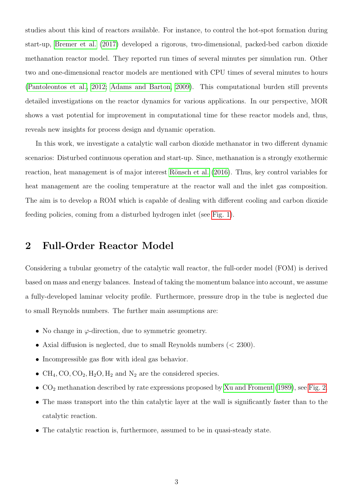studies about this kind of reactors available. For instance, to control the hot-spot formation during start-up, [Bremer et al.](#page-19-3) [\(2017\)](#page-19-3) developed a rigorous, two-dimensional, packed-bed carbon dioxide methanation reactor model. They reported run times of several minutes per simulation run. Other two and one-dimensional reactor models are mentioned with CPU times of several minutes to hours [\(Pantoleontos et al., 2012;](#page-20-1) [Adams and Barton, 2009\)](#page-18-0). This computational burden still prevents detailed investigations on the reactor dynamics for various applications. In our perspective, MOR shows a vast potential for improvement in computational time for these reactor models and, thus, reveals new insights for process design and dynamic operation.

In this work, we investigate a catalytic wall carbon dioxide methanator in two different dynamic scenarios: Disturbed continuous operation and start-up. Since, methanation is a strongly exothermic reaction, heat management is of major interest Rönsch et al. [\(2016\)](#page-20-2). Thus, key control variables for heat management are the cooling temperature at the reactor wall and the inlet gas composition. The aim is to develop a ROM which is capable of dealing with different cooling and carbon dioxide feeding policies, coming from a disturbed hydrogen inlet (see [Fig. 1\)](#page-1-0).

## 2 Full-Order Reactor Model

Considering a tubular geometry of the catalytic wall reactor, the full-order model (FOM) is derived based on mass and energy balances. Instead of taking the momentum balance into account, we assume a fully-developed laminar velocity profile. Furthermore, pressure drop in the tube is neglected due to small Reynolds numbers. The further main assumptions are:

- No change in  $\varphi$ -direction, due to symmetric geometry.
- Axial diffusion is neglected, due to small Reynolds numbers  $( $2300$ ).$
- Incompressible gas flow with ideal gas behavior.
- $CH_4$ , CO, CO<sub>2</sub>, H<sub>2</sub>O, H<sub>2</sub> and N<sub>2</sub> are the considered species.
- $CO<sub>2</sub>$  methanation described by rate expressions proposed by [Xu and Froment](#page-21-0) [\(1989\)](#page-21-0), see [Fig. 2.](#page-3-0)
- The mass transport into the thin catalytic layer at the wall is significantly faster than to the catalytic reaction.
- The catalytic reaction is, furthermore, assumed to be in quasi-steady state.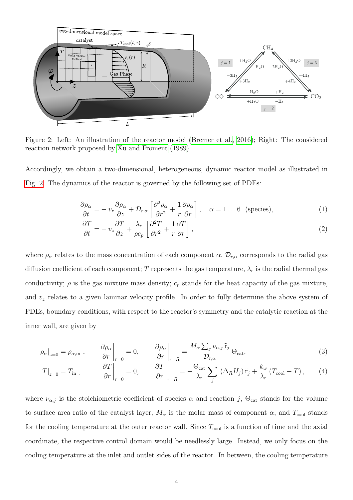

<span id="page-3-0"></span>Figure 2: Left: An illustration of the reactor model [\(Bremer et al., 2016\)](#page-19-2); Right: The considered reaction network proposed by [Xu and Froment](#page-21-0) [\(1989\)](#page-21-0).

Accordingly, we obtain a two-dimensional, heterogeneous, dynamic reactor model as illustrated in [Fig. 2.](#page-3-0) The dynamics of the reactor is governed by the following set of PDEs:

$$
\frac{\partial \rho_{\alpha}}{\partial t} = -v_{z} \frac{\partial \rho_{\alpha}}{\partial z} + \mathcal{D}_{r,\alpha} \left[ \frac{\partial^{2} \rho_{\alpha}}{\partial r^{2}} + \frac{1}{r} \frac{\partial \rho_{\alpha}}{\partial r} \right], \quad \alpha = 1...6 \text{ (species)},
$$
\n(1)

<span id="page-3-4"></span><span id="page-3-3"></span><span id="page-3-2"></span><span id="page-3-1"></span>
$$
\frac{\partial T}{\partial t} = -v_z \frac{\partial T}{\partial z} + \frac{\lambda_r}{\rho c_p} \left[ \frac{\partial^2 T}{\partial r^2} + \frac{1}{r} \frac{\partial T}{\partial r} \right],\tag{2}
$$

where  $\rho_{\alpha}$  relates to the mass concentration of each component  $\alpha$ ,  $\mathcal{D}_{r,\alpha}$  corresponds to the radial gas diffusion coefficient of each component; T represents the gas temperature,  $\lambda_r$  is the radial thermal gas conductivity;  $\rho$  is the gas mixture mass density;  $c_p$  stands for the heat capacity of the gas mixture, and  $v<sub>z</sub>$  relates to a given laminar velocity profile. In order to fully determine the above system of PDEs, boundary conditions, with respect to the reactor's symmetry and the catalytic reaction at the inner wall, are given by

$$
\rho_{\alpha}|_{z=0} = \rho_{\alpha,\text{in}} , \qquad \frac{\partial \rho_{\alpha}}{\partial r}\bigg|_{r=0} = 0, \qquad \frac{\partial \rho_{\alpha}}{\partial r}\bigg|_{r=R} = \frac{M_{\alpha} \sum_{j} \nu_{\alpha,j} \tilde{r}_{j}}{\mathcal{D}_{r,\alpha}} \Theta_{\text{cat}}, \tag{3}
$$

$$
T|_{z=0} = T_{\text{in}} , \qquad \frac{\partial T}{\partial r}\bigg|_{r=0} = 0 , \qquad \frac{\partial T}{\partial r}\bigg|_{r=R} = -\frac{\Theta_{\text{cat}}}{\lambda_r} \sum_j \left(\Delta_R H_j\right) \tilde{r}_j + \frac{k_w}{\lambda_r} \left(T_{\text{cool}} - T\right), \qquad (4)
$$

where  $\nu_{\alpha,j}$  is the stoichiometric coefficient of species  $\alpha$  and reaction j,  $\Theta_{\text{cat}}$  stands for the volume to surface area ratio of the catalyst layer;  $M_{\alpha}$  is the molar mass of component  $\alpha$ , and  $T_{\text{cool}}$  stands for the cooling temperature at the outer reactor wall. Since  $T_{\text{cool}}$  is a function of time and the axial coordinate, the respective control domain would be needlessly large. Instead, we only focus on the cooling temperature at the inlet and outlet sides of the reactor. In between, the cooling temperature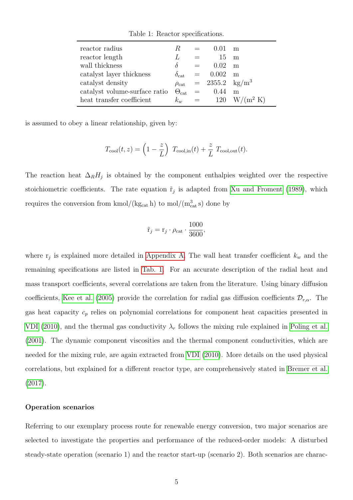| reactor radius                | R.                    |         |                           | m           |
|-------------------------------|-----------------------|---------|---------------------------|-------------|
| reactor length                | L                     |         | 15                        | m           |
| wall thickness                | $\delta$              | $=$     | 0.02                      | m           |
| catalyst layer thickness      | $\delta_{\rm cat}$    | $=$     | 0.002                     | m           |
| catalyst density              | $\rho_{\text{cat}}$   |         | $= 2355.2 \text{ kg/m}^3$ |             |
| catalyst volume-surface ratio | $\Theta_{\text{cat}}$ | $=$     | 0.44                      | m           |
| heat transfer coefficient     | $k_w$                 | $=$ $-$ | 120                       | $W/(m^2 K)$ |

<span id="page-4-0"></span>Table 1: Reactor specifications.

is assumed to obey a linear relationship, given by:

$$
T_{\text{cool}}(t,z) = \left(1 - \frac{z}{L}\right) T_{\text{cool,in}}(t) + \frac{z}{L} T_{\text{cool,out}}(t).
$$

The reaction heat  $\Delta_R H_j$  is obtained by the component enthalpies weighted over the respective stoichiometric coefficients. The rate equation  $\tilde{r}_j$  is adapted from [Xu and Froment](#page-21-0) [\(1989\)](#page-21-0), which requires the conversion from kmol/( $\text{kg}_{\text{cat}}$  h) to mol/( $\text{m}_{\text{cat}}^3$ s) done by

$$
\tilde{\mathbf{r}}_j = \mathbf{r}_j \cdot \rho_{\text{cat}} \cdot \frac{1000}{3600},
$$

where  $r_j$  is explained more detailed in [Appendix A.](#page-21-1) The wall heat transfer coefficient  $k_w$  and the remaining specifications are listed in [Tab. 1.](#page-4-0) For an accurate description of the radial heat and mass transport coefficients, several correlations are taken from the literature. Using binary diffusion coefficients, [Kee et al.](#page-19-4) [\(2005\)](#page-19-4) provide the correlation for radial gas diffusion coefficients  $\mathcal{D}_{r,\alpha}$ . The gas heat capacity  $c_p$  relies on polynomial correlations for component heat capacities presented in [VDI](#page-20-3) [\(2010\)](#page-20-3), and the thermal gas conductivity  $\lambda_r$  follows the mixing rule explained in [Poling et al.](#page-20-4) [\(2001\)](#page-20-4). The dynamic component viscosities and the thermal component conductivities, which are needed for the mixing rule, are again extracted from [VDI](#page-20-3) [\(2010\)](#page-20-3). More details on the used physical correlations, but explained for a different reactor type, are comprehensively stated in [Bremer et al.](#page-19-3) [\(2017\)](#page-19-3).

#### Operation scenarios

Referring to our exemplary process route for renewable energy conversion, two major scenarios are selected to investigate the properties and performance of the reduced-order models: A disturbed steady-state operation (scenario 1) and the reactor start-up (scenario 2). Both scenarios are charac-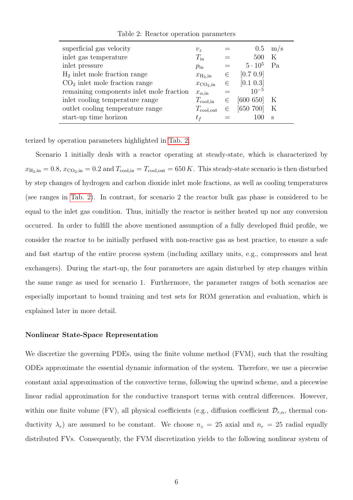| superficial gas velocity                 | $v_{\gamma}$                |       | 0.5            | m/s     |
|------------------------------------------|-----------------------------|-------|----------------|---------|
| inlet gas temperature                    | $T_{\rm in}$                |       | 500            | K       |
| inlet pressure                           | $p_{\rm in}$                |       | $5 \cdot 10^5$ | Pa      |
| $H_2$ in let mole fraction range         | $x_{\text{H}_2,\text{in}}$  | $\in$ | [0.7 0.9]      |         |
| $CO2$ inlet mole fraction range          | $x_{\text{CO}_2,\text{in}}$ | $\in$ | [0.1 0.3]      |         |
| remaining components inlet mole fraction | $x_{\alpha,\text{in}}$      |       | $10^{-5}$      |         |
| inlet cooling temperature range          | $T_{\rm cool,in}$           | $\in$ | [600 650]      | $\rm K$ |
| outlet cooling temperature range         | $T_{\rm cool,out}$          | $\in$ | [650 700]      | $\rm K$ |
| start-up time horizon                    | $t_f$                       |       |                | S       |

<span id="page-5-0"></span>Table 2: Reactor operation parameters

terized by operation parameters highlighted in [Tab. 2.](#page-5-0)

Scenario 1 initially deals with a reactor operating at steady-state, which is characterized by  $x_{\text{H}_2,\text{in}} = 0.8$ ,  $x_{\text{CO}_2,\text{in}} = 0.2$  and  $T_{\text{cool,in}} = T_{\text{cool,out}} = 650 K$ . This steady-state scenario is then disturbed by step changes of hydrogen and carbon dioxide inlet mole fractions, as well as cooling temperatures (see ranges in [Tab. 2\)](#page-5-0). In contrast, for scenario 2 the reactor bulk gas phase is considered to be equal to the inlet gas condition. Thus, initially the reactor is neither heated up nor any conversion occurred. In order to fulfill the above mentioned assumption of a fully developed fluid profile, we consider the reactor to be initially perfused with non-reactive gas as best practice, to ensure a safe and fast startup of the entire process system (including axillary units, e.g., compressors and heat exchangers). During the start-up, the four parameters are again disturbed by step changes within the same range as used for scenario 1. Furthermore, the parameter ranges of both scenarios are especially important to bound training and test sets for ROM generation and evaluation, which is explained later in more detail.

### Nonlinear State-Space Representation

We discretize the governing PDEs, using the finite volume method (FVM), such that the resulting ODEs approximate the essential dynamic information of the system. Therefore, we use a piecewise constant axial approximation of the convective terms, following the upwind scheme, and a piecewise linear radial approximation for the conductive transport terms with central differences. However, within one finite volume (FV), all physical coefficients (e.g., diffusion coefficient  $\mathcal{D}_{r,\alpha}$ , thermal conductivity  $\lambda_r$ ) are assumed to be constant. We choose  $n_z = 25$  axial and  $n_r = 25$  radial equally distributed FVs. Consequently, the FVM discretization yields to the following nonlinear system of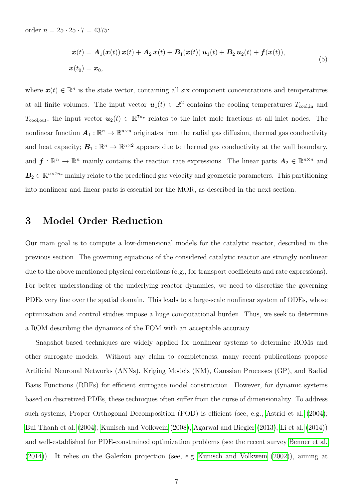order  $n = 25 \cdot 25 \cdot 7 = 4375$ :

<span id="page-6-0"></span>
$$
\dot{x}(t) = A_1(x(t)) x(t) + A_2 x(t) + B_1(x(t)) u_1(t) + B_2 u_2(t) + f(x(t)),
$$
  
\n
$$
x(t_0) = x_0,
$$
\n(5)

where  $\boldsymbol{x}(t) \in \mathbb{R}^n$  is the state vector, containing all six component concentrations and temperatures at all finite volumes. The input vector  $u_1(t) \in \mathbb{R}^2$  contains the cooling temperatures  $T_{\text{cool,in}}$  and  $T_{\text{cool,out}}$ ; the input vector  $u_2(t) \in \mathbb{R}^{7n_r}$  relates to the inlet mole fractions at all inlet nodes. The nonlinear function  $A_1 : \mathbb{R}^n \to \mathbb{R}^{n \times n}$  originates from the radial gas diffusion, thermal gas conductivity and heat capacity;  $B_1 : \mathbb{R}^n \to \mathbb{R}^{n \times 2}$  appears due to thermal gas conductivity at the wall boundary, and  $f: \mathbb{R}^n \to \mathbb{R}^n$  mainly contains the reaction rate expressions. The linear parts  $A_2 \in \mathbb{R}^{n \times n}$  and  $B_2 \in \mathbb{R}^{n \times 7n_r}$  mainly relate to the predefined gas velocity and geometric parameters. This partitioning into nonlinear and linear parts is essential for the MOR, as described in the next section.

## 3 Model Order Reduction

Our main goal is to compute a low-dimensional models for the catalytic reactor, described in the previous section. The governing equations of the considered catalytic reactor are strongly nonlinear due to the above mentioned physical correlations (e.g., for transport coefficients and rate expressions). For better understanding of the underlying reactor dynamics, we need to discretize the governing PDEs very fine over the spatial domain. This leads to a large-scale nonlinear system of ODEs, whose optimization and control studies impose a huge computational burden. Thus, we seek to determine a ROM describing the dynamics of the FOM with an acceptable accuracy.

Snapshot-based techniques are widely applied for nonlinear systems to determine ROMs and other surrogate models. Without any claim to completeness, many recent publications propose Artificial Neuronal Networks (ANNs), Kriging Models (KM), Gaussian Processes (GP), and Radial Basis Functions (RBFs) for efficient surrogate model construction. However, for dynamic systems based on discretized PDEs, these techniques often suffer from the curse of dimensionality. To address such systems, Proper Orthogonal Decomposition (POD) is efficient (see, e.g., [Astrid et al.](#page-18-2) [\(2004\)](#page-18-2); [Bui-Thanh et al.](#page-19-5) [\(2004\)](#page-19-5); [Kunisch and Volkwein](#page-20-5) [\(2008\)](#page-20-5); [Agarwal and Biegler](#page-18-3) [\(2013\)](#page-18-3); [Li et al.](#page-20-6) [\(2014\)](#page-20-6)) and well-established for PDE-constrained optimization problems (see the recent survey [Benner et al.](#page-19-6) [\(2014\)](#page-19-6)). It relies on the Galerkin projection (see, e.g.[,Kunisch and Volkwein](#page-20-7) [\(2002\)](#page-20-7)), aiming at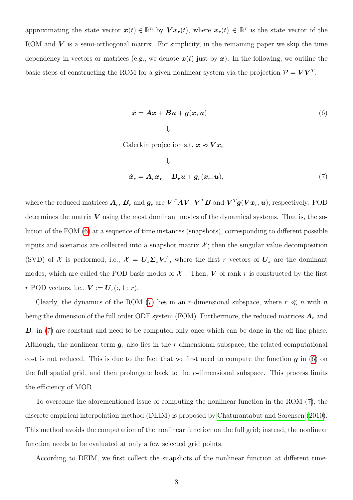approximating the state vector  $x(t) \in \mathbb{R}^n$  by  $\boldsymbol{V} x_r(t)$ , where  $x_r(t) \in \mathbb{R}^r$  is the state vector of the ROM and  $\bf{V}$  is a semi-orthogonal matrix. For simplicity, in the remaining paper we skip the time dependency in vectors or matrices (e.g., we denote  $x(t)$  just by x). In the following, we outline the basic steps of constructing the ROM for a given nonlinear system via the projection  $\mathcal{P} = \boldsymbol{V}\boldsymbol{V}^T$ :

<span id="page-7-0"></span>
$$
\dot{x} = Ax + Bu + g(x, u)
$$
\n<sup>(6)</sup>

Galerkin projection s.t.  $x \approx V x_r$ 

<span id="page-7-1"></span>
$$
\Downarrow
$$
  

$$
\dot{x}_r = A_r x_r + B_r u + g_r(x_r, u),
$$
 (7)

where the reduced matrices  $A_r$ ,  $B_r$  and  $g_r$  are  $V^TAV$ ,  $V^TB$  and  $V^Tg(Vx_r,u)$ , respectively. POD determines the matrix  $V$  using the most dominant modes of the dynamical systems. That is, the solution of the FOM [\(6\)](#page-7-0) at a sequence of time instances (snapshots), corresponding to different possible inputs and scenarios are collected into a snapshot matrix  $\mathcal{X}$ ; then the singular value decomposition (SVD) of X is performed, i.e.,  $\mathcal{X} = U_x \Sigma_x V_x^T$ , where the first r vectors of  $U_x$  are the dominant modes, which are called the POD basis modes of  $X$ . Then,  $V$  of rank r is constructed by the first r POD vectors, i.e.,  $\mathbf{V} := \mathbf{U}_x(:,1:r)$ .

Clearly, the dynamics of the ROM [\(7\)](#page-7-1) lies in an r-dimensional subspace, where  $r \ll n$  with n being the dimension of the full order ODE system (FOM). Furthermore, the reduced matrices  $A_r$  and  $\mathbf{B}_r$  in [\(7\)](#page-7-1) are constant and need to be computed only once which can be done in the off-line phase. Although, the nonlinear term  $g_r$  also lies in the r-dimensional subspace, the related computational cost is not reduced. This is due to the fact that we first need to compute the function  $g$  in [\(6\)](#page-7-0) on the full spatial grid, and then prolongate back to the  $r$ -dimensional subspace. This process limits the efficiency of MOR.

To overcome the aforementioned issue of computing the nonlinear function in the ROM [\(7\)](#page-7-1), the discrete empirical interpolation method (DEIM) is proposed by [Chaturantabut and Sorensen](#page-19-7) [\(2010\)](#page-19-7). This method avoids the computation of the nonlinear function on the full grid; instead, the nonlinear function needs to be evaluated at only a few selected grid points.

According to DEIM, we first collect the snapshots of the nonlinear function at different time-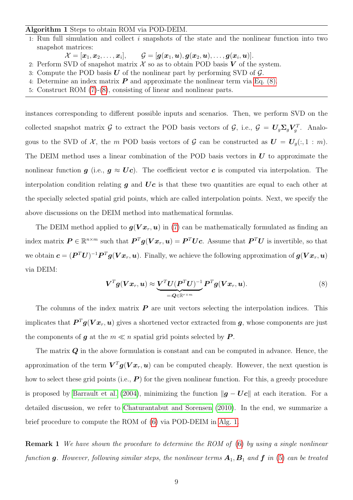## Algorithm 1 Steps to obtain ROM via POD-DEIM.

- 1: Run full simulation and collect i snapshots of the state and the nonlinear function into two snapshot matrices:
	- $\mathcal{X} = [\boldsymbol{x}_1, \boldsymbol{x}_2, \ldots, \boldsymbol{x}_i],$  $\mathcal{G} = [\boldsymbol{g}(\boldsymbol{x}_1, \boldsymbol{u}), \boldsymbol{g}(\boldsymbol{x}_2, \boldsymbol{u}), \dots, \boldsymbol{g}(\boldsymbol{x}_i, \boldsymbol{u})].$
- 2: Perform SVD of snapshot matrix  $\mathcal X$  so as to obtain POD basis  $V$  of the system.
- 3: Compute the POD basis  $U$  of the nonlinear part by performing SVD of  $\mathcal{G}$ .
- 4: Determine an index matrix  $\boldsymbol{P}$  and approximate the nonlinear term via [Eq. \(8\).](#page-8-0)
- <span id="page-8-1"></span>5: Construct ROM [\(7\)](#page-7-1)-[\(8\)](#page-8-0), consisting of linear and nonlinear parts.

instances corresponding to different possible inputs and scenarios. Then, we perform SVD on the collected snapshot matrix G to extract the POD basis vectors of G, i.e.,  $\mathcal{G} = U_g \Sigma_g V_g^T$ . Analogous to the SVD of X, the m POD basis vectors of G can be constructed as  $U = U<sub>g</sub>(:, 1 : m)$ . The DEIM method uses a linear combination of the POD basis vectors in  $\boldsymbol{U}$  to approximate the nonlinear function  $g$  (i.e.,  $g \approx Uc$ ). The coefficient vector c is computed via interpolation. The interpolation condition relating  $g$  and  $Uc$  is that these two quantities are equal to each other at the specially selected spatial grid points, which are called interpolation points. Next, we specify the above discussions on the DEIM method into mathematical formulas.

The DEIM method applied to  $g(Vx_r, u)$  in [\(7\)](#page-7-1) can be mathematically formulated as finding an index matrix  $P \in \mathbb{R}^{n \times m}$  such that  $P^{T}g(Vx_r, u) = P^{T}Uc$ . Assume that  $P^{T}U$  is invertible, so that we obtain  $\bm{c} = (\bm{P}^T\bm{U})^{-1}\bm{P}^T\bm{g}(\bm{V}\bm{x}_r,\bm{u}).$  Finally, we achieve the following approximation of  $\bm{g}(\bm{V}\bm{x}_r,\bm{u})$ via DEIM:

<span id="page-8-0"></span>
$$
\boldsymbol{V}^T \boldsymbol{g}(\boldsymbol{V} \boldsymbol{x}_r, \boldsymbol{u}) \approx \underbrace{\boldsymbol{V}^T \boldsymbol{U} (\boldsymbol{P}^T \boldsymbol{U})^{-1}}_{=: \boldsymbol{Q} \in \mathbb{R}^{r \times m}} \boldsymbol{P}^T \boldsymbol{g}(\boldsymbol{V} \boldsymbol{x}_r, \boldsymbol{u}). \tag{8}
$$

The columns of the index matrix  $P$  are unit vectors selecting the interpolation indices. This implicates that  $\bm{P}^T\bm{g}(\bm{V}\bm{x}_r,\bm{u})$  gives a shortened vector extracted from  $\bm{g}$ , whose components are just the components of **g** at the  $m \ll n$  spatial grid points selected by **P**.

The matrix  $Q$  in the above formulation is constant and can be computed in advance. Hence, the approximation of the term  $V^T g(Vx_r, u)$  can be computed cheaply. However, the next question is how to select these grid points (i.e.,  $P$ ) for the given nonlinear function. For this, a greedy procedure is proposed by [Barrault et al.](#page-18-4) [\(2004\)](#page-18-4), minimizing the function  $\|\boldsymbol{g} - \boldsymbol{U}\boldsymbol{c}\|$  at each iteration. For a detailed discussion, we refer to [Chaturantabut and Sorensen](#page-19-7) [\(2010\)](#page-19-7). In the end, we summarize a brief procedure to compute the ROM of [\(6\)](#page-7-0) via POD-DEIM in [Alg. 1.](#page-8-1)

**Remark 1** We have shown the procedure to determine the ROM of [\(6\)](#page-7-0) by using a single nonlinear function g. However, following similar steps, the nonlinear terms  $A_1, B_1$  and f in [\(5\)](#page-6-0) can be treated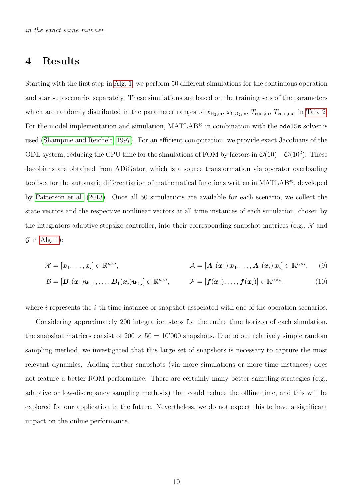## 4 Results

Starting with the first step in [Alg. 1,](#page-8-1) we perform 50 different simulations for the continuous operation and start-up scenario, separately. These simulations are based on the training sets of the parameters which are randomly distributed in the parameter ranges of  $x_{\text{H}_2,\text{in}}$ ,  $x_{\text{CO}_2,\text{in}}$ ,  $T_{\text{cool,in}}$ ,  $T_{\text{cool,out}}$  in [Tab. 2.](#page-5-0) For the model implementation and simulation, MATLAB<sup>®</sup> in combination with the **ode15s** solver is used [\(Shampine and Reichelt, 1997\)](#page-20-8). For an efficient computation, we provide exact Jacobians of the ODE system, reducing the CPU time for the simulations of FOM by factors in  $\mathcal{O}(10) - \mathcal{O}(10^2)$ . These Jacobians are obtained from ADiGator, which is a source transformation via operator overloading toolbox for the automatic differentiation of mathematical functions written in MATLAB<sup>®</sup>, developed by [Patterson et al.](#page-20-9) [\(2013\)](#page-20-9). Once all 50 simulations are available for each scenario, we collect the state vectors and the respective nonlinear vectors at all time instances of each simulation, chosen by the integrators adaptive stepsize controller, into their corresponding snapshot matrices (e.g.,  $\mathcal{X}$  and  $\mathcal G$  in [Alg. 1\)](#page-8-1):

$$
\mathcal{X} = [\boldsymbol{x}_1,\ldots,\boldsymbol{x}_i] \in \mathbb{R}^{n \times i}, \qquad \qquad \mathcal{A} = [\boldsymbol{A}_1(\boldsymbol{x}_1) \, \boldsymbol{x}_1,\ldots,\boldsymbol{A}_1(\boldsymbol{x}_i) \, \boldsymbol{x}_i] \in \mathbb{R}^{n \times i}, \qquad (9)
$$

$$
\mathcal{B} = [\boldsymbol{B}_1(\boldsymbol{x}_1)\boldsymbol{u}_{1,1},\ldots,\boldsymbol{B}_1(\boldsymbol{x}_i)\boldsymbol{u}_{1,i}] \in \mathbb{R}^{n \times i}, \qquad \mathcal{F} = [\boldsymbol{f}(\boldsymbol{x}_1),\ldots,\boldsymbol{f}(\boldsymbol{x}_i)] \in \mathbb{R}^{n \times i}, \qquad (10)
$$

where  $i$  represents the  $i$ -th time instance or snapshot associated with one of the operation scenarios.

Considering approximately 200 integration steps for the entire time horizon of each simulation, the snapshot matrices consist of  $200 \times 50 = 10'000$  snapshots. Due to our relatively simple random sampling method, we investigated that this large set of snapshots is necessary to capture the most relevant dynamics. Adding further snapshots (via more simulations or more time instances) does not feature a better ROM performance. There are certainly many better sampling strategies (e.g., adaptive or low-discrepancy sampling methods) that could reduce the offline time, and this will be explored for our application in the future. Nevertheless, we do not expect this to have a significant impact on the online performance.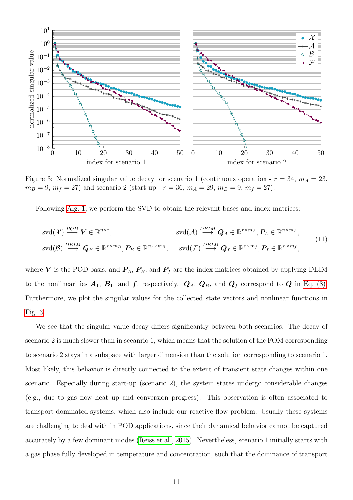

<span id="page-10-0"></span>Figure 3: Normalized singular value decay for scenario 1 (continuous operation -  $r = 34$ ,  $m_A = 23$ ,  $m_B = 9, m_f = 27$ ) and scenario 2 (start-up -  $r = 36, m_A = 29, m_B = 9, m_f = 27$ ).

Following [Alg. 1,](#page-8-1) we perform the SVD to obtain the relevant bases and index matrices:

$$
\operatorname{svd}(\mathcal{X}) \stackrel{POD}{\longrightarrow} \mathbf{V} \in \mathbb{R}^{n \times r}, \qquad \operatorname{svd}(\mathcal{A}) \stackrel{DEIM}{\longrightarrow} \mathbf{Q}_A \in \mathbb{R}^{r \times m_A}, \mathbf{P}_A \in \mathbb{R}^{n \times m_A},
$$
  
\n
$$
\operatorname{svd}(\mathcal{B}) \stackrel{DEIM}{\longrightarrow} \mathbf{Q}_B \in \mathbb{R}^{r \times m_B}, \mathbf{P}_B \in \mathbb{R}^{n \times m_B}, \qquad \operatorname{svd}(\mathcal{F}) \stackrel{DEIM}{\longrightarrow} \mathbf{Q}_f \in \mathbb{R}^{r \times m_f}, \mathbf{P}_f \in \mathbb{R}^{n \times m_f}, \qquad (11)
$$

where V is the POD basis, and  $P_A$ ,  $P_B$ , and  $P_f$  are the index matrices obtained by applying DEIM to the nonlinearities  $A_1$ ,  $B_1$ , and  $f$ , respectively.  $Q_A$ ,  $Q_B$ , and  $Q_f$  correspond to  $Q$  in [Eq. \(8\).](#page-8-0) Furthermore, we plot the singular values for the collected state vectors and nonlinear functions in [Fig. 3.](#page-10-0)

We see that the singular value decay differs significantly between both scenarios. The decay of scenario 2 is much slower than in sceanrio 1, which means that the solution of the FOM corresponding to scenario 2 stays in a subspace with larger dimension than the solution corresponding to scenario 1. Most likely, this behavior is directly connected to the extent of transient state changes within one scenario. Especially during start-up (scenario 2), the system states undergo considerable changes (e.g., due to gas flow heat up and conversion progress). This observation is often associated to transport-dominated systems, which also include our reactive flow problem. Usually these systems are challenging to deal with in POD applications, since their dynamical behavior cannot be captured accurately by a few dominant modes [\(Reiss et al., 2015\)](#page-20-10). Nevertheless, scenario 1 initially starts with a gas phase fully developed in temperature and concentration, such that the dominance of transport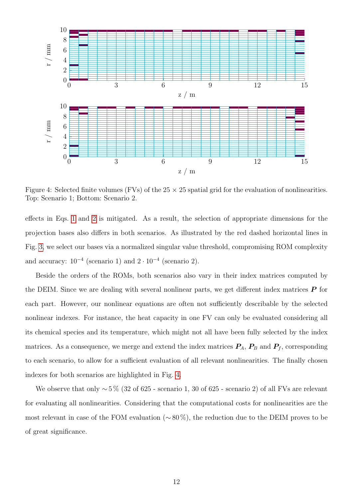

<span id="page-11-0"></span>Figure 4: Selected finite volumes (FVs) of the  $25 \times 25$  spatial grid for the evaluation of nonlinearities. Top: Scenario 1; Bottom: Scenario 2.

effects in Eqs. [1](#page-3-1) and [2](#page-3-2) is mitigated. As a result, the selection of appropriate dimensions for the projection bases also differs in both scenarios. As illustrated by the red dashed horizontal lines in Fig. [3,](#page-10-0) we select our bases via a normalized singular value threshold, compromising ROM complexity and accuracy:  $10^{-4}$  (scenario 1) and  $2 \cdot 10^{-4}$  (scenario 2).

Beside the orders of the ROMs, both scenarios also vary in their index matrices computed by the DEIM. Since we are dealing with several nonlinear parts, we get different index matrices  $\bm{P}$  for each part. However, our nonlinear equations are often not sufficiently describable by the selected nonlinear indexes. For instance, the heat capacity in one FV can only be evaluated considering all its chemical species and its temperature, which might not all have been fully selected by the index matrices. As a consequence, we merge and extend the index matrices  $P_A$ ,  $P_B$  and  $P_f$ , corresponding to each scenario, to allow for a sufficient evaluation of all relevant nonlinearities. The finally chosen indexes for both scenarios are highlighted in Fig. [4.](#page-11-0)

We observe that only ∼ 5 % (32 of 625 - scenario 1, 30 of 625 - scenario 2) of all FVs are relevant for evaluating all nonlinearities. Considering that the computational costs for nonlinearities are the most relevant in case of the FOM evaluation (∼ 80 %), the reduction due to the DEIM proves to be of great significance.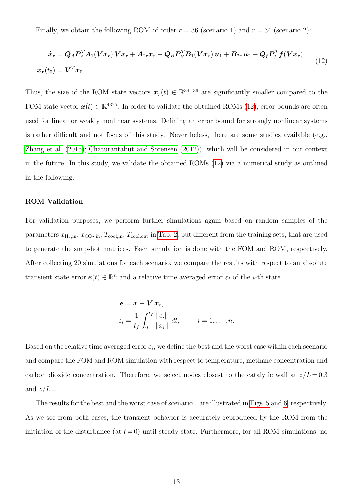Finally, we obtain the following ROM of order  $r = 36$  (scenario 1) and  $r = 34$  (scenario 2):

<span id="page-12-0"></span>
$$
\dot{\boldsymbol{x}}_r = \boldsymbol{Q}_A \boldsymbol{P}_A^T \boldsymbol{A}_1 (\boldsymbol{V} \boldsymbol{x}_r) \boldsymbol{V} \boldsymbol{x}_r + \boldsymbol{A}_{2r} \boldsymbol{x}_r + \boldsymbol{Q}_B \boldsymbol{P}_B^T \boldsymbol{B}_1 (\boldsymbol{V} \boldsymbol{x}_r) \boldsymbol{u}_1 + \boldsymbol{B}_{2r} \boldsymbol{u}_2 + \boldsymbol{Q}_f \boldsymbol{P}_f^T \boldsymbol{f} (\boldsymbol{V} \boldsymbol{x}_r),
$$
\n
$$
\boldsymbol{x}_r(t_0) = \boldsymbol{V}^T \boldsymbol{x}_0.
$$
\n(12)

Thus, the size of the ROM state vectors  $x_r(t) \in \mathbb{R}^{34-36}$  are significantly smaller compared to the FOM state vector  $\mathbf{x}(t) \in \mathbb{R}^{4375}$ . In order to validate the obtained ROMs [\(12\)](#page-12-0), error bounds are often used for linear or weakly nonlinear systems. Defining an error bound for strongly nonlinear systems is rather difficult and not focus of this study. Nevertheless, there are some studies available (e.g., [Zhang et al.](#page-21-2) [\(2015\)](#page-21-2); [Chaturantabut and Sorensen](#page-19-8) [\(2012\)](#page-19-8)), which will be considered in our context in the future. In this study, we validate the obtained ROMs [\(12\)](#page-12-0) via a numerical study as outlined in the following.

#### ROM Validation

For validation purposes, we perform further simulations again based on random samples of the parameters  $x_{\text{H}_2,\text{in}}$ ,  $x_{\text{CO}_2,\text{in}}$ ,  $T_{\text{cool,in}}$ ,  $T_{\text{cool,out}}$  in [Tab. 2,](#page-5-0) but different from the training sets, that are used to generate the snapshot matrices. Each simulation is done with the FOM and ROM, respectively. After collecting 20 simulations for each scenario, we compare the results with respect to an absolute transient state error  $e(t) \in \mathbb{R}^n$  and a relative time averaged error  $\varepsilon_i$  of the *i*-th state

$$
\begin{aligned}\n\boldsymbol{e} &= \boldsymbol{x} - \boldsymbol{V} \, \boldsymbol{x}_r, \\
\varepsilon_i &= \frac{1}{t_f} \int_0^{t_f} \frac{\|e_i\|}{\|x_i\|} \, dt, \qquad i = 1, \dots, n.\n\end{aligned}
$$

Based on the relative time averaged error  $\varepsilon_i$ , we define the best and the worst case within each scenario and compare the FOM and ROM simulation with respect to temperature, methane concentration and carbon dioxide concentration. Therefore, we select nodes closest to the catalytic wall at  $z/L = 0.3$ and  $z/L = 1$ .

The results for the best and the worst case of scenario 1 are illustrated in [Figs. 5](#page-13-0) and [6,](#page-14-0) respectively. As we see from both cases, the transient behavior is accurately reproduced by the ROM from the initiation of the disturbance (at  $t = 0$ ) until steady state. Furthermore, for all ROM simulations, no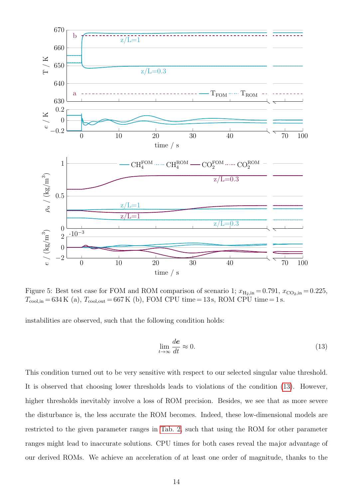

<span id="page-13-0"></span>Figure 5: Best test case for FOM and ROM comparison of scenario 1;  $x_{\text{H}_2,\text{in}} = 0.791$ ,  $x_{\text{CO}_2,\text{in}} = 0.225$ ,  $T_{\text{cool,in}} = 634 \text{ K}$  (a),  $T_{\text{cool,out}} = 667 \text{ K}$  (b), FOM CPU time = 13 s, ROM CPU time = 1 s.

instabilities are observed, such that the following condition holds:

<span id="page-13-1"></span>
$$
\lim_{t \to \infty} \frac{d\mathbf{e}}{dt} \approx 0. \tag{13}
$$

This condition turned out to be very sensitive with respect to our selected singular value threshold. It is observed that choosing lower thresholds leads to violations of the condition [\(13\)](#page-13-1). However, higher thresholds inevitably involve a loss of ROM precision. Besides, we see that as more severe the disturbance is, the less accurate the ROM becomes. Indeed, these low-dimensional models are restricted to the given parameter ranges in [Tab. 2,](#page-5-0) such that using the ROM for other parameter ranges might lead to inaccurate solutions. CPU times for both cases reveal the major advantage of our derived ROMs. We achieve an acceleration of at least one order of magnitude, thanks to the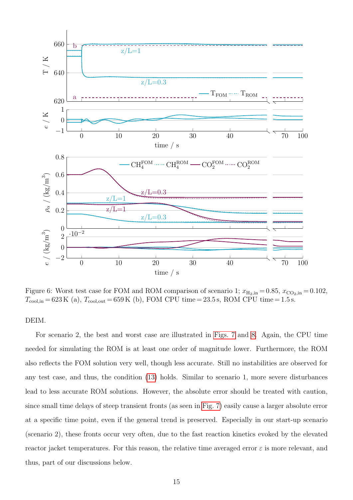

<span id="page-14-0"></span>Figure 6: Worst test case for FOM and ROM comparison of scenario 1;  $x_{\text{H}_2,\text{in}} = 0.85$ ,  $x_{\text{CO}_2,\text{in}} = 0.102$ ,  $T_{\text{cool,in}} = 623 \,\text{K}$  (a),  $T_{\text{cool,out}} = 659 \,\text{K}$  (b), FOM CPU time = 23.5 s, ROM CPU time = 1.5 s.

#### DEIM.

For scenario 2, the best and worst case are illustrated in [Figs. 7](#page-15-0) and [8.](#page-16-0) Again, the CPU time needed for simulating the ROM is at least one order of magnitude lower. Furthermore, the ROM also reflects the FOM solution very well, though less accurate. Still no instabilities are observed for any test case, and thus, the condition [\(13\)](#page-13-1) holds. Similar to scenario 1, more severe disturbances lead to less accurate ROM solutions. However, the absolute error should be treated with caution, since small time delays of steep transient fronts (as seen in [Fig. 7\)](#page-15-0) easily cause a larger absolute error at a specific time point, even if the general trend is preserved. Especially in our start-up scenario (scenario 2), these fronts occur very often, due to the fast reaction kinetics evoked by the elevated reactor jacket temperatures. For this reason, the relative time averaged error  $\varepsilon$  is more relevant, and thus, part of our discussions below.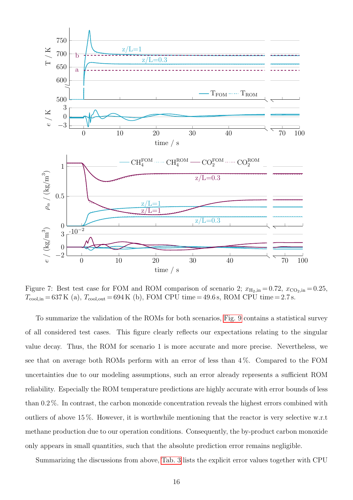

<span id="page-15-0"></span>Figure 7: Best test case for FOM and ROM comparison of scenario 2;  $x_{\text{H}_2,\text{in}} = 0.72$ ,  $x_{\text{CO}_2,\text{in}} = 0.25$ ,  $T_{\text{cool,in}} = 637 \,\text{K}$  (a),  $T_{\text{cool,out}} = 694 \,\text{K}$  (b), FOM CPU time = 49.6 s, ROM CPU time = 2.7 s.

To summarize the validation of the ROMs for both scenarios, [Fig. 9](#page-16-1) contains a statistical survey of all considered test cases. This figure clearly reflects our expectations relating to the singular value decay. Thus, the ROM for scenario 1 is more accurate and more precise. Nevertheless, we see that on average both ROMs perform with an error of less than  $4\%$ . Compared to the FOM uncertainties due to our modeling assumptions, such an error already represents a sufficient ROM reliability. Especially the ROM temperature predictions are highly accurate with error bounds of less than 0.2 %. In contrast, the carbon monoxide concentration reveals the highest errors combined with outliers of above 15 %. However, it is worthwhile mentioning that the reactor is very selective w.r.t methane production due to our operation conditions. Consequently, the by-product carbon monoxide only appears in small quantities, such that the absolute prediction error remains negligible.

Summarizing the discussions from above, [Tab. 3](#page-17-0) lists the explicit error values together with CPU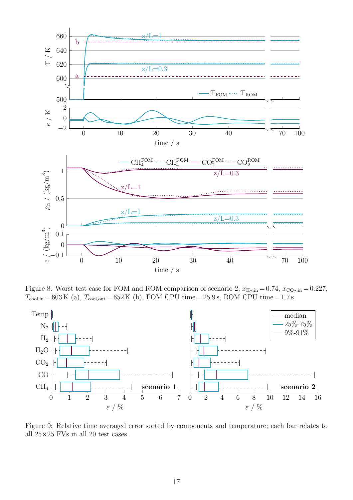

<span id="page-16-0"></span>Figure 8: Worst test case for FOM and ROM comparison of scenario 2;  $x_{\text{H}_2,\text{in}} = 0.74$ ,  $x_{\text{CO}_2,\text{in}} = 0.227$ ,  $T_{\text{cool,in}} = 603 \,\text{K}$  (a),  $T_{\text{cool,out}} = 652 \,\text{K}$  (b), FOM CPU time = 25.9 s, ROM CPU time = 1.7 s.



<span id="page-16-1"></span>Figure 9: Relative time averaged error sorted by components and temperature; each bar relates to all  $25\times25$  FVs in all 20 test cases.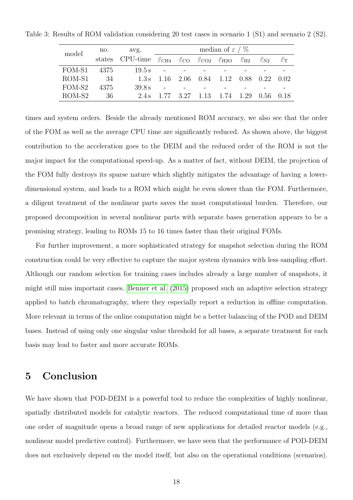<span id="page-17-0"></span>

| model  | no.    | avg.                                                                                                                                            | median of $\varepsilon$ / $\%$ |  |                                                  |  |                                   |                             |
|--------|--------|-------------------------------------------------------------------------------------------------------------------------------------------------|--------------------------------|--|--------------------------------------------------|--|-----------------------------------|-----------------------------|
|        |        | states CPU-time $\bar{\varepsilon}_{CH4}$ $\bar{\varepsilon}_{CO}$ $\bar{\varepsilon}_{CO2}$ $\bar{\varepsilon}_{H2O}$ $\bar{\varepsilon}_{H2}$ |                                |  |                                                  |  | $\bar{\varepsilon}_{\mathrm{N2}}$ | $\bar{\varepsilon}_{\rm T}$ |
| FOM-S1 | 4375   | $19.5 s$ - - -                                                                                                                                  |                                |  |                                                  |  |                                   |                             |
| ROM-S1 | - 34   | 1.3s                                                                                                                                            |                                |  | $1.16$ $2.06$ $0.84$ $1.12$ $0.88$ $0.22$ $0.02$ |  |                                   |                             |
| FOM-S2 | - 4375 | 39.8s                                                                                                                                           | $\sim 100$                     |  |                                                  |  |                                   |                             |
| ROM-S2 | -36    |                                                                                                                                                 |                                |  | 2.4 s 1.77 3.27 1.13 1.74 1.29 0.56 0.18         |  |                                   |                             |

Table 3: Results of ROM validation considering 20 test cases in scenario 1 (S1) and scenario 2 (S2).

times and system orders. Beside the already mentioned ROM accuracy, we also see that the order of the FOM as well as the average CPU time are significantly reduced. As shown above, the biggest contribution to the acceleration goes to the DEIM and the reduced order of the ROM is not the major impact for the computational speed-up. As a matter of fact, without DEIM, the projection of the FOM fully destroys its sparse nature which slightly mitigates the advantage of having a lowerdimensional system, and leads to a ROM which might be even slower than the FOM. Furthermore, a diligent treatment of the nonlinear parts saves the most computational burden. Therefore, our proposed decomposition in several nonlinear parts with separate bases generation appears to be a promising strategy, leading to ROMs 15 to 16 times faster than their original FOMs.

For further improvement, a more sophisticated strategy for snapshot selection during the ROM construction could be very effective to capture the major system dynamics with less sampling effort. Although our random selection for training cases includes already a large number of snapshots, it might still miss important cases. [Benner et al.](#page-19-9) [\(2015\)](#page-19-9) proposed such an adaptive selection strategy applied to batch chromatography, where they especially report a reduction in offline computation. More relevant in terms of the online computation might be a better balancing of the POD and DEIM bases. Instead of using only one singular value threshold for all bases, a separate treatment for each basis may lead to faster and more accurate ROMs.

# 5 Conclusion

We have shown that POD-DEIM is a powerful tool to reduce the complexities of highly nonlinear, spatially distributed models for catalytic reactors. The reduced computational time of more than one order of magnitude opens a broad range of new applications for detailed reactor models (e.g., nonlinear model predictive control). Furthermore, we have seen that the performance of POD-DEIM does not exclusively depend on the model itself, but also on the operational conditions (scenarios).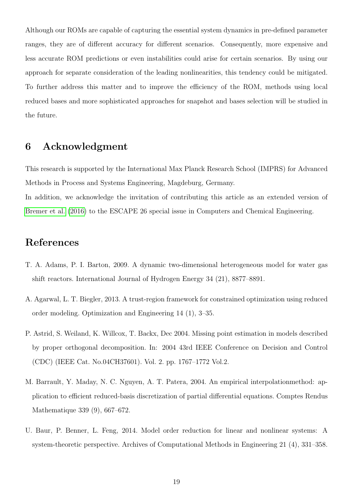Although our ROMs are capable of capturing the essential system dynamics in pre-defined parameter ranges, they are of different accuracy for different scenarios. Consequently, more expensive and less accurate ROM predictions or even instabilities could arise for certain scenarios. By using our approach for separate consideration of the leading nonlinearities, this tendency could be mitigated. To further address this matter and to improve the efficiency of the ROM, methods using local reduced bases and more sophisticated approaches for snapshot and bases selection will be studied in the future.

## 6 Acknowledgment

This research is supported by the International Max Planck Research School (IMPRS) for Advanced Methods in Process and Systems Engineering, Magdeburg, Germany.

In addition, we acknowledge the invitation of contributing this article as an extended version of [Bremer et al.](#page-19-2) [\(2016\)](#page-19-2) to the ESCAPE 26 special issue in Computers and Chemical Engineering.

# References

- <span id="page-18-0"></span>T. A. Adams, P. I. Barton, 2009. A dynamic two-dimensional heterogeneous model for water gas shift reactors. International Journal of Hydrogen Energy 34 (21), 8877–8891.
- <span id="page-18-3"></span>A. Agarwal, L. T. Biegler, 2013. A trust-region framework for constrained optimization using reduced order modeling. Optimization and Engineering 14 (1), 3–35.
- <span id="page-18-2"></span>P. Astrid, S. Weiland, K. Willcox, T. Backx, Dec 2004. Missing point estimation in models described by proper orthogonal decomposition. In: 2004 43rd IEEE Conference on Decision and Control (CDC) (IEEE Cat. No.04CH37601). Vol. 2. pp. 1767–1772 Vol.2.
- <span id="page-18-4"></span>M. Barrault, Y. Maday, N. C. Nguyen, A. T. Patera, 2004. An empirical interpolationmethod: application to efficient reduced-basis discretization of partial differential equations. Comptes Rendus Mathematique 339 (9), 667–672.
- <span id="page-18-1"></span>U. Baur, P. Benner, L. Feng, 2014. Model order reduction for linear and nonlinear systems: A system-theoretic perspective. Archives of Computational Methods in Engineering 21 (4), 331–358.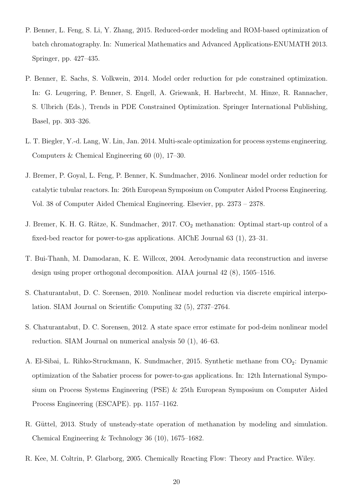- <span id="page-19-9"></span>P. Benner, L. Feng, S. Li, Y. Zhang, 2015. Reduced-order modeling and ROM-based optimization of batch chromatography. In: Numerical Mathematics and Advanced Applications-ENUMATH 2013. Springer, pp. 427–435.
- <span id="page-19-6"></span>P. Benner, E. Sachs, S. Volkwein, 2014. Model order reduction for pde constrained optimization. In: G. Leugering, P. Benner, S. Engell, A. Griewank, H. Harbrecht, M. Hinze, R. Rannacher, S. Ulbrich (Eds.), Trends in PDE Constrained Optimization. Springer International Publishing, Basel, pp. 303–326.
- <span id="page-19-0"></span>L. T. Biegler, Y.-d. Lang, W. Lin, Jan. 2014. Multi-scale optimization for process systems engineering. Computers & Chemical Engineering 60 (0), 17–30.
- <span id="page-19-2"></span>J. Bremer, P. Goyal, L. Feng, P. Benner, K. Sundmacher, 2016. Nonlinear model order reduction for catalytic tubular reactors. In: 26th European Symposium on Computer Aided Process Engineering. Vol. 38 of Computer Aided Chemical Engineering. Elsevier, pp. 2373 – 2378.
- <span id="page-19-3"></span>J. Bremer, K. H. G. Rätze, K. Sundmacher, 2017. CO<sub>2</sub> methanation: Optimal start-up control of a fixed-bed reactor for power-to-gas applications. AIChE Journal 63 (1), 23–31.
- <span id="page-19-5"></span>T. Bui-Thanh, M. Damodaran, K. E. Willcox, 2004. Aerodynamic data reconstruction and inverse design using proper orthogonal decomposition. AIAA journal 42 (8), 1505–1516.
- <span id="page-19-7"></span>S. Chaturantabut, D. C. Sorensen, 2010. Nonlinear model reduction via discrete empirical interpolation. SIAM Journal on Scientific Computing 32 (5), 2737–2764.
- <span id="page-19-8"></span>S. Chaturantabut, D. C. Sorensen, 2012. A state space error estimate for pod-deim nonlinear model reduction. SIAM Journal on numerical analysis 50 (1), 46–63.
- <span id="page-19-10"></span>A. El-Sibai, L. Rihko-Struckmann, K. Sundmacher, 2015. Synthetic methane from CO<sub>2</sub>: Dynamic optimization of the Sabatier process for power-to-gas applications. In: 12th International Symposium on Process Systems Engineering (PSE) & 25th European Symposium on Computer Aided Process Engineering (ESCAPE). pp. 1157–1162.
- <span id="page-19-1"></span>R. Güttel, 2013. Study of unsteady-state operation of methanation by modeling and simulation. Chemical Engineering & Technology 36 (10), 1675–1682.
- <span id="page-19-4"></span>R. Kee, M. Coltrin, P. Glarborg, 2005. Chemically Reacting Flow: Theory and Practice. Wiley.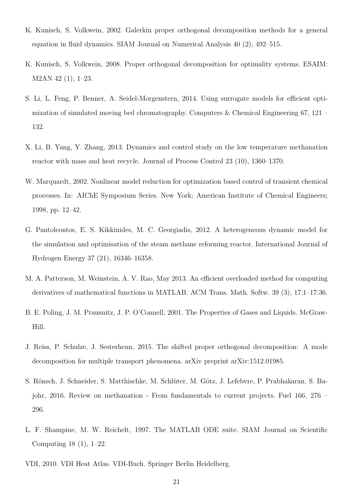- <span id="page-20-7"></span>K. Kunisch, S. Volkwein, 2002. Galerkin proper orthogonal decomposition methods for a general equation in fluid dynamics. SIAM Journal on Numerical Analysis 40 (2), 492–515.
- <span id="page-20-5"></span>K. Kunisch, S. Volkwein, 2008. Proper orthogonal decomposition for optimality systems. ESAIM: M2AN 42 (1), 1–23.
- <span id="page-20-6"></span>S. Li, L. Feng, P. Benner, A. Seidel-Morgenstern, 2014. Using surrogate models for efficient optimization of simulated moving bed chromatography. Computers & Chemical Engineering 67, 121 – 132.
- <span id="page-20-11"></span>X. Li, B. Yang, Y. Zhang, 2013. Dynamics and control study on the low temperature methanation reactor with mass and heat recycle. Journal of Process Control 23 (10), 1360–1370.
- <span id="page-20-0"></span>W. Marquardt, 2002. Nonlinear model reduction for optimization based control of transient chemical processes. In: AIChE Symposium Series. New York; American Institute of Chemical Engineers; 1998, pp. 12–42.
- <span id="page-20-1"></span>G. Pantoleontos, E. S. Kikkinides, M. C. Georgiadis, 2012. A heterogeneous dynamic model for the simulation and optimisation of the steam methane reforming reactor. International Journal of Hydrogen Energy 37 (21), 16346–16358.
- <span id="page-20-9"></span>M. A. Patterson, M. Weinstein, A. V. Rao, May 2013. An efficient overloaded method for computing derivatives of mathematical functions in MATLAB. ACM Trans. Math. Softw. 39 (3), 17:1–17:36.
- <span id="page-20-4"></span>B. E. Poling, J. M. Prausnitz, J. P. O'Connell, 2001. The Properties of Gases and Liquids. McGraw-Hill.
- <span id="page-20-10"></span>J. Reiss, P. Schulze, J. Sesterhenn, 2015. The shifted proper orthogonal decomposition: A mode decomposition for multiple transport phenomena. arXiv preprint arXiv:1512.01985.
- <span id="page-20-2"></span>S. Rönsch, J. Schneider, S. Matthischke, M. Schlüter, M. Götz, J. Lefebvre, P. Prabhakaran, S. Bajohr, 2016. Review on methanation - From fundamentals to current projects. Fuel 166, 276 – 296.
- <span id="page-20-8"></span>L. F. Shampine, M. W. Reichelt, 1997. The MATLAB ODE suite. SIAM Journal on Scientific Computing 18 (1), 1–22.
- <span id="page-20-3"></span>VDI, 2010. VDI Heat Atlas. VDI-Buch. Springer Berlin Heidelberg.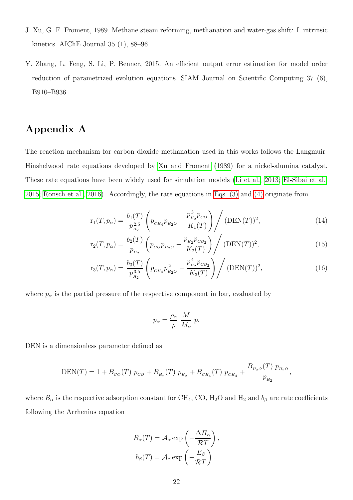- <span id="page-21-0"></span>J. Xu, G. F. Froment, 1989. Methane steam reforming, methanation and water-gas shift: I. intrinsic kinetics. AIChE Journal 35 (1), 88–96.
- <span id="page-21-2"></span>Y. Zhang, L. Feng, S. Li, P. Benner, 2015. An efficient output error estimation for model order reduction of parametrized evolution equations. SIAM Journal on Scientific Computing 37 (6), B910–B936.

# <span id="page-21-1"></span>Appendix A

The reaction mechanism for carbon dioxide methanation used in this works follows the Langmuir-Hinshelwood rate equations developed by [Xu and Froment](#page-21-0) [\(1989\)](#page-21-0) for a nickel-alumina catalyst. These rate equations have been widely used for simulation models [\(Li et al., 2013;](#page-20-11) [El-Sibai et al.,](#page-19-10) [2015;](#page-19-10) Rönsch et al., 2016). Accordingly, the rate equations in Eqs.  $(3)$  and  $(4)$  originate from

$$
\mathbf{r}_{1}(T, p_{\alpha}) = \frac{b_{1}(T)}{p_{H_{2}}^{2.5}} \left( p_{_{CH_{4}}} p_{_{H_{2}O}} - \frac{p_{_{H_{2}}}^{3} p_{_{CO}}}{K_{1}(T)} \right) / (\text{DEN}(T))^{2},\tag{14}
$$

$$
\mathbf{r}_2(T, p_\alpha) = \frac{b_2(T)}{p_{H_2}} \left( p_{co} p_{H_2O} - \frac{p_{H_2} p_{CO_2}}{K_2(T)} \right) / (\text{DEN}(T))^2, \tag{15}
$$

$$
r_3(T, p_\alpha) = \frac{b_3(T)}{p_{H_2}^{3.5}} \left( p_{\scriptscriptstyle CH_4} p_{\scriptscriptstyle H_2O}^2 - \frac{p_{H_2}^4 p_{\scriptscriptstyle CO_2}}{K_3(T)} \right) / (\text{DEN}(T))^2, \tag{16}
$$

where  $p_{\alpha}$  is the partial pressure of the respective component in bar, evaluated by

$$
p_{\alpha} = \frac{\rho_{\alpha}}{\rho} \frac{M}{M_{\alpha}} p.
$$

DEN is a dimensionless parameter defined as

$$
DEN(T) = 1 + B_{CO}(T) p_{CO} + B_{H_2}(T) p_{H_2} + B_{CH_4}(T) p_{CH_4} + \frac{B_{H_2O}(T) p_{H_2O}}{p_{H_2}},
$$

where  $B_{\alpha}$  is the respective adsorption constant for CH<sub>4</sub>, CO, H<sub>2</sub>O and H<sub>2</sub> and  $b_{\beta}$  are rate coefficients following the Arrhenius equation

$$
B_{\alpha}(T) = A_{\alpha} \exp\left(-\frac{\Delta H_{\alpha}}{\mathcal{R}T}\right),
$$

$$
b_{\beta}(T) = A_{\beta} \exp\left(-\frac{E_{\beta}}{\mathcal{R}T}\right).
$$